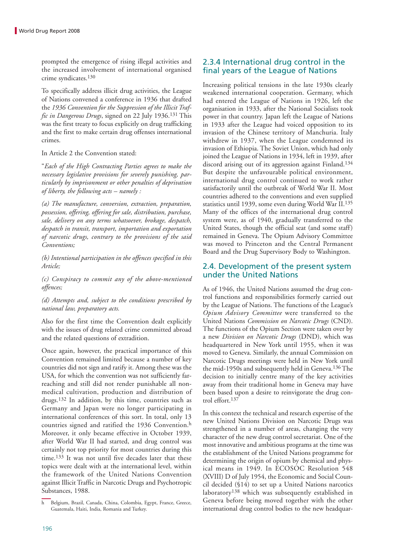prompted the emergence of rising illegal activities and the increased involvement of international organised crime syndicates.130

To specifically address illicit drug activities, the League of Nations convened a conference in 1936 that drafted the *1936 Convention for the Suppression of the Illicit Traffic in Dangerous Drugs*, signed on 22 July 1936.131 This was the first treaty to focus explicitly on drug trafficking and the first to make certain drug offenses international crimes.

In Article 2 the Convention stated:

"*Each of the High Contracting Parties agrees to make the necessary legislative provisions for severely punishing, particularly by imprisonment or other penalties of deprivation of liberty, the following acts – namely :* 

*(a) The manufacture, conversion, extraction, preparation, possession, offering, offering for sale, distribution, purchase, sale, delivery on any terms whatsoever, brokage, despatch, despatch in transit, transport, importation and exportation of narcotic drugs, contrary to the provisions of the said Conventions;* 

*(b) Intentional participation in the offences specified in this Article;* 

*(c) Conspiracy to commit any of the above-mentioned offences;*

*(d) Attempts and, subject to the conditions prescribed by national law, preparatory acts.* 

Also for the first time the Convention dealt explicitly with the issues of drug related crime committed abroad and the related questions of extradition.

Once again, however, the practical importance of this Convention remained limited because a number of key countries did not sign and ratify it. Among these was the USA, for which the convention was not sufficiently farreaching and still did not render punishable all nonmedical cultivation, production and distribution of drugs.132 In addition, by this time, countries such as Germany and Japan were no longer participating in international conferences of this sort. In total, only 13 countries signed and ratified the 1936 Convention.h Moreover, it only became effective in October 1939, after World War II had started, and drug control was certainly not top priority for most countries during this time.133 It was not until five decades later that these topics were dealt with at the international level, within the framework of the United Nations Convention against Illicit Traffic in Narcotic Drugs and Psychotropic Substances, 1988.

# 2.3.4 International drug control in the final years of the League of Nations

Increasing political tensions in the late 1930s clearly weakened international cooperation. Germany, which had entered the League of Nations in 1926, left the organisation in 1933, after the National Socialists took power in that country. Japan left the League of Nations in 1933 after the League had voiced opposition to its invasion of the Chinese territory of Manchuria. Italy withdrew in 1937, when the League condemned its invasion of Ethiopia. The Soviet Union, which had only joined the League of Nations in 1934, left in 1939, after discord arising out of its aggression against Finland.134 But despite the unfavourable political environment, international drug control continued to work rather satisfactorily until the outbreak of World War II. Most countries adhered to the conventions and even supplied statistics until 1939, some even during World War II.135 Many of the offices of the international drug control system were, as of 1940, gradually transferred to the United States, though the official seat (and some staff) remained in Geneva. The Opium Advisory Committee was moved to Princeton and the Central Permanent Board and the Drug Supervisory Body to Washington.

### 2.4. Development of the present system under the United Nations

As of 1946, the United Nations assumed the drug control functions and responsibilities formerly carried out by the League of Nations. The functions of the League's *Opium Advisory Committee* were transferred to the United Nations *Commission on Narcotic Drugs* (CND). The functions of the Opium Section were taken over by a new *Division on Narcotic Drugs* (DND), which was headquartered in New York until 1955, when it was moved to Geneva. Similarly, the annual Commission on Narcotic Drugs meetings were held in New York until the mid-1950s and subsequently held in Geneva.136 The decision to initially centre many of the key activities away from their traditional home in Geneva may have been based upon a desire to reinvigorate the drug control effort.137

In this context the technical and research expertise of the new United Nations Division on Narcotic Drugs was strengthened in a number of areas, changing the very character of the new drug control secretariat. One of the most innovative and ambitious programs at the time was the establishment of the United Nations programme for determining the origin of opium by chemical and physical means in 1949. In ECOSOC Resolution 548 (XVIII) D of July 1954, the Economic and Social Council decided (§14) to set up a United Nations narcotics laboratory138 which was subsequently established in Geneva before being moved together with the other international drug control bodies to the new headquar-

h Belgium, Brazil, Canada, China, Colombia, Egypt, France, Greece, Guatemala, Haiti, India, Romania and Turkey.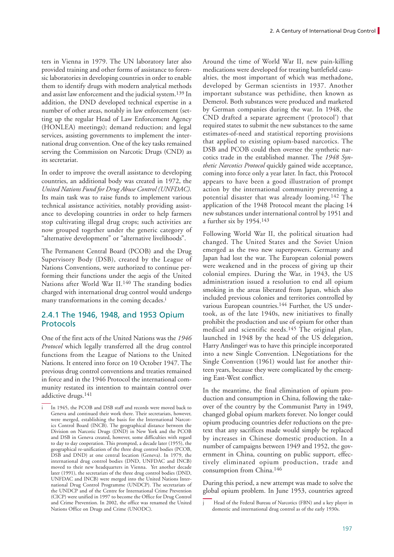ters in Vienna in 1979. The UN laboratory later also provided training and other forms of assistance to forensic laboratories in developing countries in order to enable them to identify drugs with modern analytical methods and assist law enforcement and the judicial system.139 In addition, the DND developed technical expertise in a number of other areas, notably in law enforcement (setting up the regular Head of Law Enforcement Agency (HONLEA) meetings); demand reduction; and legal services, assisting governments to implement the international drug convention. One of the key tasks remained serving the Commission on Narcotic Drugs (CND) as its secretariat.

In order to improve the overall assistance to developing countries, an additional body was created in 1972, the *United Nations Fund for Drug Abuse Control (UNFDAC).* Its main task was to raise funds to implement various technical assistance activities, notably providing assistance to developing countries in order to help farmers stop cultivating illegal drug crops; such activities are now grouped together under the generic category of "alternative development" or "alternative livelihoods".

The Permanent Central Board (PCOB) and the Drug Supervisory Body (DSB), created by the League of Nations Conventions, were authorized to continue performing their functions under the aegis of the United Nations after World War II.<sup>140</sup> The standing bodies charged with international drug control would undergo many transformations in the coming decades.<sup>i</sup>

# 2.4.1 The 1946, 1948, and 1953 Opium Protocols

One of the first acts of the United Nations was the *1946 Protocol* which legally transferred all the drug control functions from the League of Nations to the United Nations. It entered into force on 10 October 1947. The previous drug control conventions and treaties remained in force and in the 1946 Protocol the international community restated its intention to maintain control over addictive drugs.141

Around the time of World War II, new pain-killing medications were developed for treating battlefield casualties, the most important of which was methadone, developed by German scientists in 1937. Another important substance was pethidine, then known as Demerol. Both substances were produced and marketed by German companies during the war. In 1948, the CND drafted a separate agreement ('protocol') that required states to submit the new substances to the same estimates-of-need and statistical reporting provisions that applied to existing opium-based narcotics. The DSB and PCOB could then oversee the synthetic narcotics trade in the established manner. The *1948 Synthetic Narcotics Protocol* quickly gained wide acceptance, coming into force only a year later. In fact, this Protocol appears to have been a good illustration of prompt action by the international community preventing a potential disaster that was already looming.142 The application of the 1948 Protocol meant the placing 14 new substances under international control by 1951 and a further six by 1954.143

Following World War II, the political situation had changed. The United States and the Soviet Union emerged as the two new superpowers. Germany and Japan had lost the war. The European colonial powers were weakened and in the process of giving up their colonial empires. During the War, in 1943, the US administration issued a resolution to end all opium smoking in the areas liberated from Japan, which also included previous colonies and territories controlled by various European countries.144 Further, the US undertook, as of the late 1940s, new initiatives to finally prohibit the production and use of opium for other than medical and scientific needs.<sup>145</sup> The original plan, launched in 1948 by the head of the US delegation, Harry Anslinger<sup>j</sup> was to have this principle incorporated into a new Single Convention. LNegotiations for the Single Convention (1961) would last for another thirteen years, because they were complicated by the emerging East-West conflict.

In the meantime, the final elimination of opium production and consumption in China, following the takeover of the country by the Communist Party in 1949, changed global opium markets forever. No longer could opium producing countries defer reductions on the pretext that any sacrifices made would simply be replaced by increases in Chinese domestic production. In a number of campaigns between 1949 and 1952, the government in China, counting on public support, effectively eliminated opium production, trade and consumption from China.146

During this period, a new attempt was made to solve the global opium problem. In June 1953, countries agreed

In 1945, the PCOB and DSB staff and records were moved back to Geneva and continued their work there. Their secretariats, however, were merged, establishing the basis for the International Narcotics Control Board (INCB). The geographical distance between the Division on Narcotic Drugs (DND) in New York and the PCOB and DSB in Geneva created, however, some difficulties with regard to day to day cooperation. This prompted, a decade later (1955), the geographical re-unification of the three drug control bodies (PCOB, DSB and DND) at one central location (Geneva). In 1979, the international drug control bodies (DND, UNFDAC and INCB) moved to their new headquarters in Vienna. Yet another decade later (1991), the secretariats of the three drug control bodies (DND, UNFDAC and INCB) were merged into the United Nations International Drug Control Programme (UNDCP). The secretariats of the UNDCP and of the Centre for International Crime Prevention (CICP) were unified in 1997 to become the Office for Drug Control and Crime Prevention. In 2002, the office was renamed the United Nations Office on Drugs and Crime (UNODC).

Head of the Federal Bureau of Narcotics (FBN) and a key player in domestic and international drug control as of the early 1930s.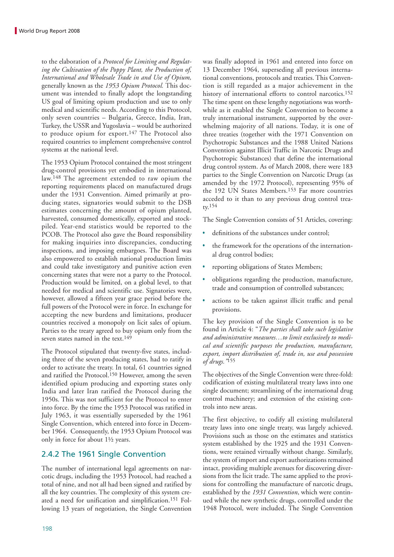to the elaboration of a *Protocol for Limiting and Regulating the Cultivation of the Poppy Plant, the Production of, International and Wholesale Trade in and Use of Opium,*  generally known as the *1953 Opium Protocol.* This document was intended to finally adopt the longstanding US goal of limiting opium production and use to only medical and scientific needs. According to this Protocol, only seven countries – Bulgaria, Greece, India, Iran, Turkey, the USSR and Yugoslavia – would be authorized to produce opium for export.147 The Protocol also required countries to implement comprehensive control systems at the national level.

The 1953 Opium Protocol contained the most stringent drug-control provisions yet embodied in international law.148 The agreement extended to raw opium the reporting requirements placed on manufactured drugs under the 1931 Convention. Aimed primarily at producing states, signatories would submit to the DSB estimates concerning the amount of opium planted, harvested, consumed domestically, exported and stockpiled. Year-end statistics would be reported to the PCOB. The Protocol also gave the Board responsibility for making inquiries into discrepancies, conducting inspections, and imposing embargoes. The Board was also empowered to establish national production limits and could take investigatory and punitive action even concerning states that were not a party to the Protocol. Production would be limited, on a global level, to that needed for medical and scientific use. Signatories were, however, allowed a fifteen year grace period before the full powers of the Protocol were in force. In exchange for accepting the new burdens and limitations, producer countries received a monopoly on licit sales of opium. Parties to the treaty agreed to buy opium only from the seven states named in the text.<sup>149</sup>

The Protocol stipulated that twenty-five states, including three of the seven producing states, had to ratify in order to activate the treaty. In total, 61 countries signed and ratified the Protocol.150 However, among the seven identified opium producing and exporting states only India and later Iran ratified the Protocol during the 1950s. This was not sufficient for the Protocol to enter into force. By the time the 1953 Protocol was ratified in July 1963, it was essentially superseded by the 1961 Single Convention, which entered into force in December 1964. Consequently, the 1953 Opium Protocol was only in force for about 1½ years.

# 2.4.2 The 1961 Single Convention

The number of international legal agreements on narcotic drugs, including the 1953 Protocol, had reached a total of nine, and not all had been signed and ratified by all the key countries. The complexity of this system created a need for unification and simplification.151 Following 13 years of negotiation, the Single Convention

was finally adopted in 1961 and entered into force on 13 December 1964, superseding all previous international conventions, protocols and treaties. This Convention is still regarded as a major achievement in the history of international efforts to control narcotics.<sup>152</sup> The time spent on these lengthy negotiations was worthwhile as it enabled the Single Convention to become a truly international instrument, supported by the overwhelming majority of all nations. Today, it is one of three treaties (together with the 1971 Convention on Psychotropic Substances and the 1988 United Nations Convention against Illicit Traffic in Narcotic Drugs and Psychotropic Substances) that define the international drug control system. As of March 2008, there were 183 parties to the Single Convention on Narcotic Drugs (as amended by the 1972 Protocol), representing 95% of the 192 UN States Members.153 Far more countries acceded to it than to any previous drug control treaty.154

The Single Convention consists of 51 Articles, covering:

- definitions of the substances under control;
- the framework for the operations of the international drug control bodies;
- reporting obligations of States Members;
- obligations regarding the production, manufacture, trade and consumption of controlled substances;
- actions to be taken against illicit traffic and penal provisions.

The key provision of the Single Convention is to be found in Article 4: "*The parties shall take such legislative and administrative measures…to limit exclusively to medical and scientific purposes the production, manufacture, export, import distribution of, trade in, use and possession of drugs."*155

The objectives of the Single Convention were three-fold: codification of existing multilateral treaty laws into one single document; streamlining of the international drug control machinery; and extension of the existing controls into new areas.

The first objective, to codify all existing multilateral treaty laws into one single treaty, was largely achieved. Provisions such as those on the estimates and statistics system established by the 1925 and the 1931 Conventions, were retained virtually without change. Similarly, the system of import and export authorizations remained intact, providing multiple avenues for discovering diversions from the licit trade. The same applied to the provisions for controlling the manufacture of narcotic drugs, established by the *1931 Convention*, which were continued while the new synthetic drugs, controlled under the 1948 Protocol, were included. The Single Convention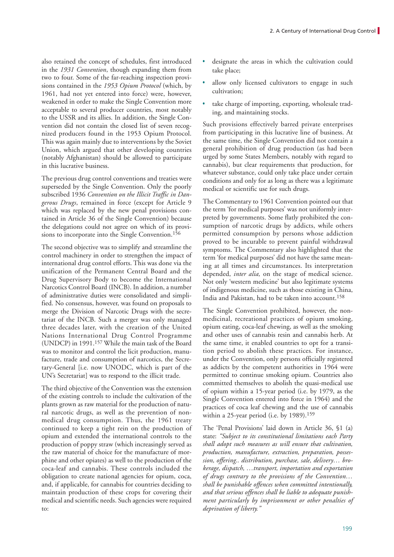also retained the concept of schedules, first introduced in the *1931 Convention*, though expanding them from two to four. Some of the far-reaching inspection provisions contained in the *1953 Opium Protocol* (which, by 1961, had not yet entered into force) were, however, weakened in order to make the Single Convention more acceptable to several producer countries, most notably to the USSR and its allies. In addition, the Single Convention did not contain the closed list of seven recognized producers found in the 1953 Opium Protocol. This was again mainly due to interventions by the Soviet Union, which argued that other developing countries (notably Afghanistan) should be allowed to participate in this lucrative business.

The previous drug control conventions and treaties were superseded by the Single Convention. Only the poorly subscribed 1936 *Convention on the Illicit Traffic in Dangerous Drugs*, remained in force (except for Article 9 which was replaced by the new penal provisions contained in Article 36 of the Single Convention) because the delegations could not agree on which of its provisions to incorporate into the Single Convention.156

The second objective was to simplify and streamline the control machinery in order to strengthen the impact of international drug control efforts. This was done via the unification of the Permanent Central Board and the Drug Supervisory Body to become the International Narcotics Control Board (INCB). In addition, a number of administrative duties were consolidated and simplified. No consensus, however, was found on proposals to merge the Division of Narcotic Drugs with the secretariat of the INCB. Such a merger was only managed three decades later, with the creation of the United Nations International Drug Control Programme (UNDCP) in 1991.157 While the main task of the Board was to monitor and control the licit production, manufacture, trade and consumption of narcotics, the Secretary-General [i.e. now UNODC, which is part of the UN's Secretariat] was to respond to the illicit trade.

The third objective of the Convention was the extension of the existing controls to include the cultivation of the plants grown as raw material for the production of natural narcotic drugs, as well as the prevention of nonmedical drug consumption. Thus, the 1961 treaty continued to keep a tight rein on the production of opium and extended the international controls to the production of poppy straw (which increasingly served as the raw material of choice for the manufacture of morphine and other opiates) as well to the production of the coca-leaf and cannabis. These controls included the obligation to create national agencies for opium, coca, and, if applicable, for cannabis for countries deciding to maintain production of these crops for covering their medical and scientific needs. Such agencies were required to:

- designate the areas in which the cultivation could take place;
- allow only licensed cultivators to engage in such cultivation;
- take charge of importing, exporting, wholesale trading, and maintaining stocks.

Such provisions effectively barred private enterprises from participating in this lucrative line of business. At the same time, the Single Convention did not contain a general prohibition of drug production (as had been urged by some States Members, notably with regard to cannabis), but clear requirements that production, for whatever substance, could only take place under certain conditions and only for as long as there was a legitimate medical or scientific use for such drugs.

The Commentary to 1961 Convention pointed out that the term 'for medical purposes' was not uniformly interpreted by governments. Some flatly prohibited the consumption of narcotic drugs by addicts, while others permitted consumption by persons whose addiction proved to be incurable to prevent painful withdrawal symptoms. The Commentary also highlighted that the term 'for medical purposes' did not have the same meaning at all times and circumstances. Its interpretation depended, *inter alia,* on the stage of medical science. Not only 'western medicine' but also legitimate systems of indigenous medicine, such as those existing in China, India and Pakistan, had to be taken into account.158

The Single Convention prohibited, however, the nonmedicinal, recreational practices of opium smoking, opium eating, coca-leaf chewing, as well as the smoking and other uses of cannabis resin and cannabis herb. At the same time, it enabled countries to opt for a transition period to abolish these practices. For instance, under the Convention, only persons officially registered as addicts by the competent authorities in 1964 were permitted to continue smoking opium. Countries also committed themselves to abolish the quasi-medical use of opium within a 15-year period (i.e. by 1979, as the Single Convention entered into force in 1964) and the practices of coca leaf chewing and the use of cannabis within a 25-year period (i.e. by 1989).<sup>159</sup>

The 'Penal Provisions' laid down in Article 36, §1 (a) state: *"Subject to its constitutional limitations each Party shall adopt such measures as will ensure that cultivation, production, manufacture, extraction, preparation, possession, offering.. distribution, purchase, sale, delivery… brokerage, dispatch, …transport, importation and exportation of drugs contrary to the provisions of the Convention… shall be punishable offences when committed intentionally, and that serious offences shall be liable to adequate punishment particularly by imprisonment or other penalties of deprivation of liberty."*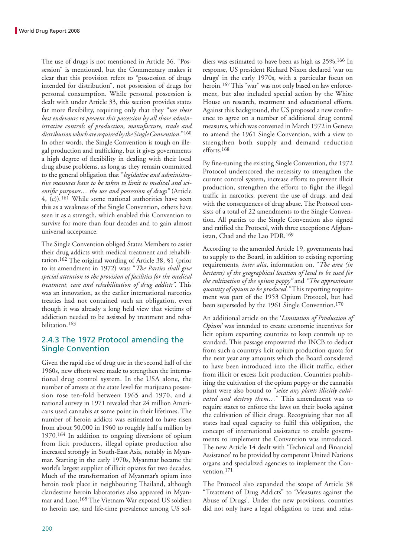The use of drugs is not mentioned in Article 36. "Possession" is mentioned, but the Commentary makes it clear that this provision refers to "possession of drugs intended for distribution", not possession of drugs for personal consumption. While personal possession is dealt with under Article 33, this section provides states far more flexibility, requiring only that they "*use their best endevours to prevent this possession by all those administrative controls of production, manufacture, trade and distribution which are required by the Single Convention*."160 In other words, the Single Convention is tough on illegal production and trafficking, but it gives governments a high degree of flexibility in dealing with their local drug abuse problems, as long as they remain committed to the general obligation that "*legislative and administrative measures have to be taken to limit to medical and scientific purposes… the use and possession of drugs"* (Article 4, (c))*.*161 While some national authorities have seen this as a weakness of the Single Convention, others have seen it as a strength, which enabled this Convention to survive for more than four decades and to gain almost universal acceptance.

The Single Convention obliged States Members to assist their drug addicts with medical treatment and rehabilitation.162 The original wording of Article 38, §1 (prior to its amendment in 1972) was: "*The Parties shall give special attention to the provision of facilities for the medical treatment, care and rehabilitation of drug addicts".* This was an innovation, as the earlier international narcotics treaties had not contained such an obligation, even though it was already a long held view that victims of addiction needed to be assisted by treatment and rehabilitation.163

# 2.4.3 The 1972 Protocol amending the Single Convention

Given the rapid rise of drug use in the second half of the 1960s, new efforts were made to strengthen the international drug control system. In the USA alone, the number of arrests at the state level for marijuana possession rose ten-fold between 1965 and 1970, and a national survey in 1971 revealed that 24 million Americans used cannabis at some point in their lifetimes. The number of heroin addicts was estimated to have risen from about 50,000 in 1960 to roughly half a million by 1970.164 In addition to ongoing diversions of opium from licit producers, illegal opiate production also increased strongly in South-East Asia, notably in Myanmar. Starting in the early 1970s, Myanmar became the world's largest supplier of illicit opiates for two decades. Much of the transformation of Myanmar's opium into heroin took place in neighbouring Thailand, although clandestine heroin laboratories also appeared in Myanmar and Laos.165 The Vietnam War exposed US soldiers to heroin use, and life-time prevalence among US sol-

diers was estimated to have been as high as 25%.166 In response, US president Richard Nixon declared 'war on drugs' in the early 1970s, with a particular focus on heroin.167 This "war" was not only based on law enforcement, but also included special action by the White House on research, treatment and educational efforts. Against this background, the US proposed a new conference to agree on a number of additional drug control measures, which was convened in March 1972 in Geneva to amend the 1961 Single Convention, with a view to strengthen both supply and demand reduction efforts.168

By fine-tuning the existing Single Convention, the 1972 Protocol underscored the necessity to strengthen the current control system, increase efforts to prevent illicit production, strengthen the efforts to fight the illegal traffic in narcotics, prevent the use of drugs, and deal with the consequences of drug abuse. The Protocol consists of a total of 22 amendments to the Single Convention. All parties to the Single Convention also signed and ratified the Protocol, with three exceptions: Afghanistan, Chad and the Lao PDR.169

According to the amended Article 19, governments had to supply to the Board, in addition to existing reporting requirements, *inter alia*, information on, "*The area (in hectares) of the geographical location of land to be used for the cultivation of the opium poppy"* and *"The approximate quantity of opium to be produced."* This reporting requirement was part of the 1953 Opium Protocol, but had been superseded by the 1961 Single Convention.170

An additional article on the '*Limitation of Production of Opium'* was intended to create economic incentives for licit opium exporting countries to keep controls up to standard. This passage empowered the INCB to deduct from such a country's licit opium production quota for the next year any amounts which the Board considered to have been introduced into the illicit traffic, either from illicit or excess licit production. Countries prohibiting the cultivation of the opium poppy or the cannabis plant were also bound to "*seize any plants illicitly cultivated and destroy them…*" This amendment was to require states to enforce the laws on their books against the cultivation of illicit drugs. Recognising that not all states had equal capacity to fulfil this obligation, the concept of international assistance to enable governments to implement the Convention was introduced. The new Article 14 dealt with 'Technical and Financial Assistance' to be provided by competent United Nations organs and specialized agencies to implement the Convention.171

The Protocol also expanded the scope of Article 38 "Treatment of Drug Addicts" to 'Measures against the Abuse of Drugs'. Under the new provisions, countries did not only have a legal obligation to treat and reha-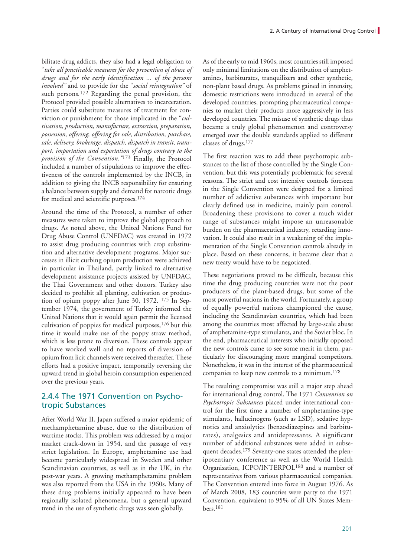bilitate drug addicts, they also had a legal obligation to "*take all practicable measures for the prevention of abuse of drugs and for the early identification ... of the persons involved"* and to provide for the "*social reintegration"* of such persons*.*172 Regarding the penal provision, the Protocol provided possible alternatives to incarceration. Parties could substitute measures of treatment for conviction or punishment for those implicated in the "*cultivation, production, manufacture, extraction, preparation, possession, offering, offering for sale, distribution, purchase, sale, delivery, brokerage, dispatch, dispatch in transit, transport, importation and exportation of drugs contrary to the provision of the Convention."*173 Finally, the Protocol included a number of stipulations to improve the effectiveness of the controls implemented by the INCB, in addition to giving the INCB responsibility for ensuring a balance between supply and demand for narcotic drugs for medical and scientific purposes.174

Around the time of the Protocol, a number of other measures were taken to improve the global approach to drugs. As noted above, the United Nations Fund for Drug Abuse Control (UNFDAC) was created in 1972 to assist drug producing countries with crop substitution and alternative development programs. Major successes in illicit curbing opium production were achieved in particular in Thailand, partly linked to alternative development assistance projects assisted by UNFDAC, the Thai Government and other donors. Turkey also decided to prohibit all planting, cultivation or production of opium poppy after June 30, 1972. 175 In September 1974, the government of Turkey informed the United Nations that it would again permit the licensed cultivation of poppies for medical purposes,<sup>176</sup> but this time it would make use of the poppy straw method, which is less prone to diversion. These controls appear to have worked well and no reports of diversion of opium from licit channels were received thereafter. These efforts had a positive impact, temporarily reversing the upward trend in global heroin consumption experienced over the previous years.

### 2.4.4 The 1971 Convention on Psychotropic Substances

After World War II, Japan suffered a major epidemic of methamphetamine abuse, due to the distribution of wartime stocks. This problem was addressed by a major market crack-down in 1954, and the passage of very strict legislation. In Europe, amphetamine use had become particularly widespread in Sweden and other Scandinavian countries, as well as in the UK, in the post-war years. A growing methamphetamine problem was also reported from the USA in the 1960s. Many of these drug problems initially appeared to have been regionally isolated phenomena, but a general upward trend in the use of synthetic drugs was seen globally.

As of the early to mid 1960s, most countries still imposed only minimal limitations on the distribution of amphetamines, barbiturates, tranquilizers and other synthetic, non-plant based drugs. As problems gained in intensity, domestic restrictions were introduced in several of the developed countries, prompting pharmaceutical companies to market their products more aggressively in less developed countries. The misuse of synthetic drugs thus became a truly global phenomenon and controversy emerged over the double standards applied to different classes of drugs.177

The first reaction was to add these psychotropic substances to the list of those controlled by the Single Convention, but this was potentially problematic for several reasons. The strict and cost intensive controls foreseen in the Single Convention were designed for a limited number of addictive substances with important but clearly defined use in medicine, mainly pain control. Broadening these provisions to cover a much wider range of substances might impose an unreasonable burden on the pharmaceutical industry, retarding innovation. It could also result in a weakening of the implementation of the Single Convention controls already in place. Based on these concerns, it became clear that a new treaty would have to be negotiated.

These negotiations proved to be difficult, because this time the drug producing countries were not the poor producers of the plant-based drugs, but some of the most powerful nations in the world. Fortunately, a group of equally powerful nations championed the cause, including the Scandinavian countries, which had been among the countries most affected by large-scale abuse of amphetamine-type stimulants, and the Soviet bloc. In the end, pharmaceutical interests who initially opposed the new controls came to see some merit in them, particularly for discouraging more marginal competitors. Nonetheless, it was in the interest of the pharmaceutical companies to keep new controls to a minimum.178

The resulting compromise was still a major step ahead for international drug control. The 1971 *Convention on Psychotropic Substances* placed under international control for the first time a number of amphetamine-type stimulants, hallucinogens (such as LSD), sedative hypnotics and anxiolytics (benzodiazepines and barbiturates), analgesics and antidepressants. A significant number of additional substances were added in subsequent decades.179 Seventy-one states attended the plenipotentiary conference as well as the World Health Organisation, ICPO/INTERPOL180 and a number of representatives from various pharmaceutical companies. The Convention entered into force in August 1976. As of March 2008, 183 countries were party to the 1971 Convention, equivalent to 95% of all UN States Members.181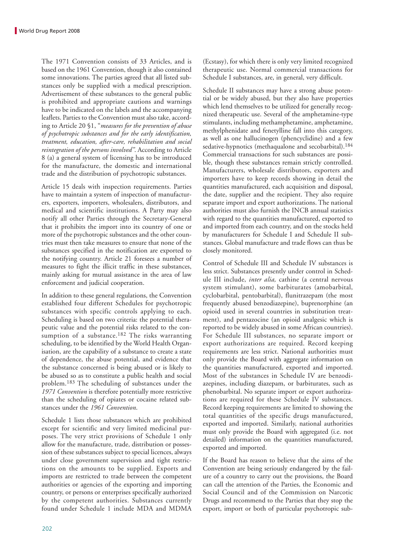The 1971 Convention consists of 33 Articles, and is based on the 1961 Convention, though it also contained some innovations. The parties agreed that all listed substances only be supplied with a medical prescription. Advertisement of these substances to the general public is prohibited and appropriate cautions and warnings have to be indicated on the labels and the accompanying leaflets. Parties to the Convention must also take, according to Article 20 §1, "*measures for the prevention of abuse of psychotropic substances and for the early identification, treatment, education, after-care, rehabilitation and social reintegration of the persons involved"*. According to Article 8 (a) a general system of licensing has to be introduced for the manufacture, the domestic and international trade and the distribution of psychotropic substances.

Article 15 deals with inspection requirements. Parties have to maintain a system of inspection of manufacturers, exporters, importers, wholesalers, distributors, and medical and scientific institutions. A Party may also notify all other Parties through the Secretary-General that it prohibits the import into its country of one or more of the psychotropic substances and the other countries must then take measures to ensure that none of the substances specified in the notification are exported to the notifying country. Article 21 foresees a number of measures to fight the illicit traffic in these substances, mainly asking for mutual assistance in the area of law enforcement and judicial cooperation.

In addition to these general regulations, the Convention established four different Schedules for psychotropic substances with specific controls applying to each. Scheduling is based on two criteria: the potential therapeutic value and the potential risks related to the consumption of a substance.<sup>182</sup> The risks warranting scheduling, to be identified by the World Health Organisation, are the capability of a substance to create a state of dependence, the abuse potential, and evidence that the substance concerned is being abused or is likely to be abused so as to constitute a public health and social problem.183 The scheduling of substances under the *1971 Convention* is therefore potentially more restrictive than the scheduling of opiates or cocaine related substances under the *1961 Convention*.

Schedule 1 lists those substances which are prohibited except for scientific and very limited medicinal purposes. The very strict provisions of Schedule 1 only allow for the manufacture, trade, distribution or possession of these substances subject to special licences, always under close government supervision and tight restrictions on the amounts to be supplied. Exports and imports are restricted to trade between the competent authorities or agencies of the exporting and importing country, or persons or enterprises specifically authorized by the competent authorities. Substances currently found under Schedule 1 include MDA and MDMA

(Ecstasy), for which there is only very limited recognized therapeutic use. Normal commercial transactions for Schedule I substances, are, in general, very difficult.

Schedule II substances may have a strong abuse potential or be widely abused, but they also have properties which lend themselves to be utilized for generally recognized therapeutic use. Several of the amphetamine-type stimulants, including methamphetamine, amphetamine, methylphenidate and fenetylline fall into this category, as well as one hallucinogen (phencyclidine) and a few sedative-hypnotics (methaqualone and secobarbital).<sup>184</sup> Commercial transactions for such substances are possible, though these substances remain strictly controlled. Manufacturers, wholesale distributors, exporters and importers have to keep records showing in detail the quantities manufactured, each acquisition and disposal, the date, supplier and the recipient. They also require separate import and export authorizations. The national authorities must also furnish the INCB annual statistics with regard to the quantities manufactured, exported to and imported from each country, and on the stocks held by manufacturers for Schedule I and Schedule II substances. Global manufacture and trade flows can thus be closely monitored.

Control of Schedule III and Schedule IV substances is less strict. Substances presently under control in Schedule III include, *inter alia,* cathine (a central nervous system stimulant), some barbiturates (amobarbital, cyclobarbital, pentobarbital), flunitrazepam (the most frequently abused benzodiazepine), buprenorphine (an opioid used in several countries in substitution treatment), and pentazocine (an opioid analgesic which is reported to be widely abused in some African countries). For Schedule III substances, no separate import or export authorizations are required. Record keeping requirements are less strict. National authorities must only provide the Board with aggregate information on the quantities manufactured, exported and imported. Most of the substances in Schedule IV are benzodiazepines, including diazepam, or barbiturates, such as phenobarbital. No separate import or export authorizations are required for these Schedule IV substances. Record keeping requirements are limited to showing the total quantities of the specific drugs manufactured, exported and imported. Similarly, national authorities must only provide the Board with aggregated (i.e. not detailed) information on the quantities manufactured, exported and imported.

If the Board has reason to believe that the aims of the Convention are being seriously endangered by the failure of a country to carry out the provisions, the Board can call the attention of the Parties, the Economic and Social Council and of the Commission on Narcotic Drugs and recommend to the Parties that they stop the export, import or both of particular psychotropic sub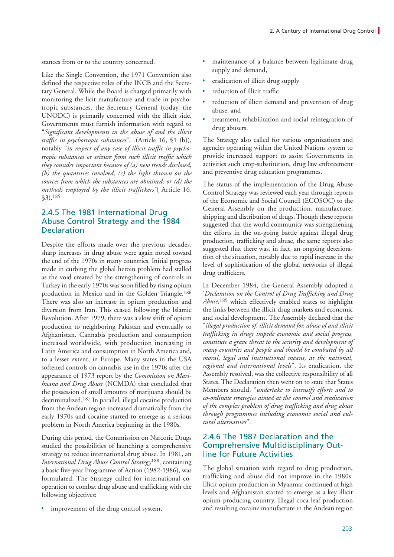stances from or to the country concerned.

Like the Single Convention, the 1971 Convention also defined the respective roles of the INCB and the Secretary General. While the Board is charged primarily with monitoring the licit manufacture and trade in psychotropic substances, the Secretary General (today, the UNODC) is primarily concerned with the illicit side. Governments must furnish information with regard to "*Significant developments in the abuse of and the illicit traffic in psychotropic substances"…*(Article 16, §1 (b)), notably "*in respect of any case of illicit traffic in psychotropic substances or seizure from such illicit traffic which they consider important because of (a) new trends disclosed, (b) the quantities involved, (c) the light thrown on the sources from which the substances are obtained; or (d) the methods employed by the illicit traffickers"*( Article 16, §3).185

# 2.4.5 The 1981 International Drug Abuse Control Strategy and the 1984 **Declaration**

Despite the efforts made over the previous decades, sharp increases in drug abuse were again noted toward the end of the 1970s in many countries. Initial progress made in curbing the global heroin problem had stalled as the void created by the strengthening of controls in Turkey in the early 1970s was soon filled by rising opium production in Mexico and in the Golden Triangle.186 There was also an increase in opium production and diversion from Iran. This ceased following the Islamic Revolution. After 1979, there was a slow shift of opium production to neighboring Pakistan and eventually to Afghanistan. Cannabis production and consumption increased worldwide, with production increasing in Latin America and consumption in North America and, to a lesser extent, in Europe. Many states in the USA softened controls on cannabis use in the 1970s after the appearance of 1973 report by the *Commission on Marihuana and Drug Abuse* (NCMDA) that concluded that the possession of small amounts of marijuana should be decriminalized.187 In parallel, illegal cocaine production from the Andean region increased dramatically from the early 1970s and cocaine started to emerge as a serious problem in North America beginning in the 1980s.

During this period, the Commission on Narcotic Drugs studied the possibilities of launching a comprehensive strategy to reduce international drug abuse. In 1981, an *International Drug Abuse Control Strategy*188, containing a basic five-year Programme of Action (1982-1986), was formulated. The Strategy called for international cooperation to combat drug abuse and trafficking with the following objectives:

• improvement of the drug control system,

- maintenance of a balance between legitimate drug supply and demand,
- eradication of illicit drug supply
- reduction of illicit traffic
- reduction of illicit demand and prevention of drug abuse, and
- treatment, rehabilitation and social reintegration of drug abusers.

The Strategy also called for various organizations and agencies operating within the United Nations system to provide increased support to assist Governments in activities such crop-substitution, drug law enforcement and preventive drug education programmes.

The status of the implementation of the Drug Abuse Control Strategy was reviewed each year through reports of the Economic and Social Council (ECOSOC) to the General Assembly on the production, manufacture, shipping and distribution of drugs. Though these reports suggested that the world community was strengthening the efforts in the on-going battle against illegal drug production, trafficking and abuse, the same reports also suggested that there was, in fact, an ongoing deterioration of the situation, notably due to rapid increase in the level of sophistication of the global networks of illegal drug traffickers.

In December 1984, the General Assembly adopted a '*Declaration on the Control of Drug Trafficking and Drug Abuse,*189 which effectively enabled states to highlight the links between the illicit drug markets and economic and social development. The Assembly declared that the "*illegal production of, illicit demand for, abuse of and illicit trafficking in drugs impede economic and social progress, constitute a grave threat to the security and development of many countries and people and should be combated by all moral, legal and institutional means, at the national, regional and international levels*". Its eradication, the Assembly resolved, was the collective responsibility of all States. The Declaration then went on to state that States Members should, "*undertake to intensify efforts and to co-ordinate strategies aimed at the control and eradication of the complex problem of drug trafficking and drug abuse through programmes including economic social and cultural alternatives*".

# 2.4.6 The 1987 Declaration and the Comprehensive Multidisciplinary Outline for Future Activities

The global situation with regard to drug production, trafficking and abuse did not improve in the 1980s. Illicit opium production in Myanmar continued at high levels and Afghanistan started to emerge as a key illicit opium producing country. Illegal coca leaf production and resulting cocaine manufacture in the Andean region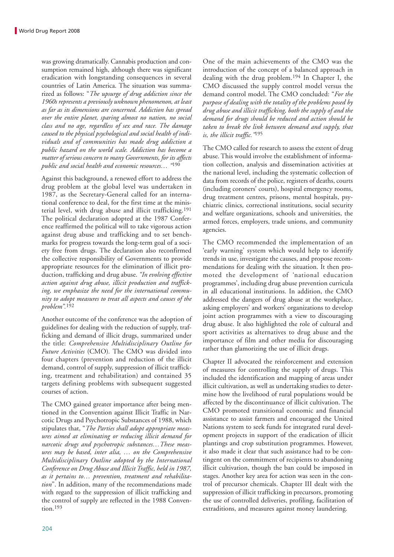was growing dramatically. Cannabis production and consumption remained high, although there was significant eradication with longstanding consequences in several countries of Latin America. The situation was summarized as follows: "*The upsurge of drug addiction since the 1960s represents a previously unknown phenomenon, at least as far as its dimensions are concerned. Addiction has spread over the entire planet, sparing almost no nation, no social class and no age, regardless of sex and race. The damage caused to the physical psychological and social health of individuals and of communities has made drug addiction a public hazard on the world scale. Addiction has become a matter of serious concern to many Governments, for its affects public and social health and economic resources… "*190

Against this background, a renewed effort to address the drug problem at the global level was undertaken in 1987, as the Secretary-General called for an international conference to deal, for the first time at the ministerial level, with drug abuse and illicit trafficking.191 The political declaration adopted at the 1987 Conference reaffirmed the political will to take vigorous action against drug abuse and trafficking and to set benchmarks for progress towards the long-term goal of a society free from drugs. The declaration also reconfirmed the collective responsibility of Governments to provide appropriate resources for the elimination of illicit production, trafficking and drug abuse. *"In evolving effective action against drug abuse, illicit production and trafficking, we emphasize the need for the international community to adopt measures to treat all aspects and causes of the problem".*192

Another outcome of the conference was the adoption of guidelines for dealing with the reduction of supply, trafficking and demand of illicit drugs, summarized under the title: *Comprehensive Multidisciplinary Outline for Future Activities* (CMO)*.* The CMO was divided into four chapters (prevention and reduction of the illicit demand, control of supply, suppression of illicit trafficking, treatment and rehabilitation) and contained 35 targets defining problems with subsequent suggested courses of action.

The CMO gained greater importance after being mentioned in the Convention against Illicit Traffic in Narcotic Drugs and Psychotropic Substances of 1988, which stipulates that, "*The Parties shall adopt appropriate measures aimed at eliminating or reducing illicit demand for narcotic drugs and psychotropic substances…These measures may be based, inter alia, … on the Comprehensive Multidisciplinary Outline adopted by the International Conference on Drug Abuse and Illicit Traffic, held in 1987, as it pertains to… prevention, treatment and rehabilitation*". In addition, many of the recommendations made with regard to the suppression of illicit trafficking and the control of supply are reflected in the 1988 Convention.193

One of the main achievements of the CMO was the introduction of the concept of a balanced approach in dealing with the drug problem.194 In Chapter I, the CMO discussed the supply control model versus the demand control model. The CMO concluded: "*For the purpose of dealing with the totality of the problems posed by drug abuse and illicit trafficking, both the supply of and the demand for drugs should be reduced and action should be taken to break the link between demand and supply, that is, the illicit traffic."*195

The CMO called for research to assess the extent of drug abuse. This would involve the establishment of information collection, analysis and dissemination activities at the national level, including the systematic collection of data from records of the police, registers of deaths, courts (including coroners' courts), hospital emergency rooms, drug treatment centres, prisons, mental hospitals, psychiatric clinics, correctional institutions, social security and welfare organizations, schools and universities, the armed forces, employers, trade unions, and community agencies.

The CMO recommended the implementation of an 'early warning' system which would help to identify trends in use, investigate the causes, and propose recommendations for dealing with the situation. It then promoted the development of 'national education programmes', including drug abuse prevention curricula in all educational institutions. In addition, the CMO addressed the dangers of drug abuse at the workplace, asking employers' and workers' organizations to develop joint action programmes with a view to discouraging drug abuse. It also highlighted the role of cultural and sport activities as alternatives to drug abuse and the importance of film and other media for discouraging rather than glamorizing the use of illicit drugs.

Chapter II advocated the reinforcement and extension of measures for controlling the supply of drugs. This included the identification and mapping of areas under illicit cultivation, as well as undertaking studies to determine how the livelihood of rural populations would be affected by the discontinuance of illicit cultivation. The CMO promoted transitional economic and financial assistance to assist farmers and encouraged the United Nations system to seek funds for integrated rural development projects in support of the eradication of illicit plantings and crop substitution programmes. However, it also made it clear that such assistance had to be contingent on the commitment of recipients to abandoning illicit cultivation, though the ban could be imposed in stages. Another key area for action was seen in the control of precursor chemicals. Chapter III dealt with the suppression of illicit trafficking in precursors, promoting the use of controlled deliveries, profiling, facilitation of extraditions, and measures against money laundering.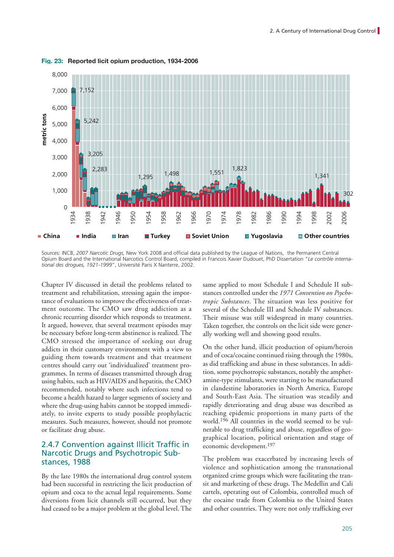

**Fig. 23: Reported licit opium production, 1934-2006** 

Sources: INCB, *2007 Narcotic Drugs,* New York 2008 and official data published by the League of Nations, the Permanent Central Opium Board and the International Narcotics Control Board, compiled in Francois Xavier Dudouet, PhD Dissertation "*Le contrôle international des drogues, 1921-1999*", Université Paris X Nanterre, 2002.

Chapter IV discussed in detail the problems related to treatment and rehabilitation, stressing again the importance of evaluations to improve the effectiveness of treatment outcome. The CMO saw drug addiction as a chronic recurring disorder which responds to treatment. It argued, however, that several treatment episodes may be necessary before long-term abstinence is realized. The CMO stressed the importance of seeking out drug addicts in their customary environment with a view to guiding them towards treatment and that treatment centres should carry out 'individualized' treatment programmes. In terms of diseases transmitted through drug using habits, such as HIV/AIDS and hepatitis, the CMO recommended, notably where such infections tend to become a health hazard to larger segments of society and where the drug-using habits cannot be stopped immediately, to invite experts to study possible prophylactic measures. Such measures, however, should not promote or facilitate drug abuse.

### 2.4.7 Convention against Illicit Traffic in Narcotic Drugs and Psychotropic Substances, 1988

By the late 1980s the international drug control system had been successful in restricting the licit production of opium and coca to the actual legal requirements. Some diversions from licit channels still occurred, but they had ceased to be a major problem at the global level. The

same applied to most Schedule I and Schedule II substances controlled under the *1971 Convention on Psychotropic Substances*. The situation was less positive for several of the Schedule III and Schedule IV substances. Their misuse was still widespread in many countries. Taken together, the controls on the licit side were generally working well and showing good results.

On the other hand, illicit production of opium/heroin and of coca/cocaine continued rising through the 1980s, as did trafficking and abuse in these substances. In addition, some psychotropic substances, notably the amphetamine-type stimulants, were starting to be manufactured in clandestine laboratories in North America, Europe and South-East Asia. The situation was steadily and rapidly deteriorating and drug abuse was described as reaching epidemic proportions in many parts of the world.196 All countries in the world seemed to be vulnerable to drug trafficking and abuse, regardless of geographical location, political orientation and stage of economic development.197

The problem was exacerbated by increasing levels of violence and sophistication among the transnational organized crime groups which were facilitating the transit and marketing of these drugs. The Medellin and Cali cartels, operating out of Colombia, controlled much of the cocaine trade from Colombia to the United States and other countries. They were not only trafficking ever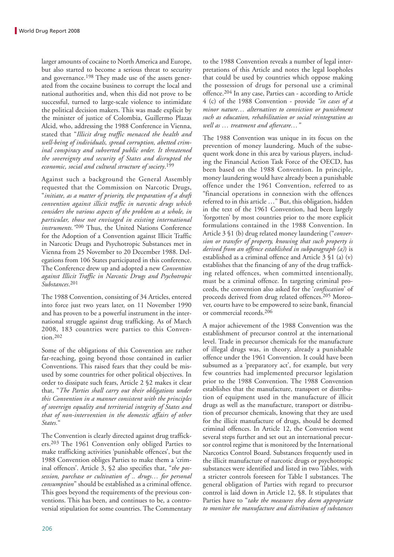larger amounts of cocaine to North America and Europe, but also started to become a serious threat to security and governance.198 They made use of the assets generated from the cocaine business to corrupt the local and national authorities and, when this did not prove to be successful, turned to large-scale violence to intimidate the political decision makers. This was made explicit by the minister of justice of Colombia, Guillermo Plazas Alcid, who, addressing the 1988 Conference in Vienna, stated that "*Illicit drug traffic menaced the health and well-being of individuals, spread corruption, abetted criminal conspiracy and subverted public order. It threatened the sovereignty and security of States and disrupted the economic, social and cultural structure of society*. 199

Against such a background the General Assembly requested that the Commission on Narcotic Drugs, "*initiate, as a matter of priority, the preparation of a draft convention against illicit traffic in narcotic drugs which considers the various aspects of the problem as a whole, in particular, those not envisaged in existing international instruments."*200 Thus, the United Nations Conference for the Adoption of a Convention against Illicit Traffic in Narcotic Drugs and Psychotropic Substances met in Vienna from 25 November to 20 December 1988. Delegations from 106 States participated in this conference. The Conference drew up and adopted a new *Convention against Illicit Traffic in Narcotic Drugs and Psychotropic Substances*. 201

The 1988 Convention, consisting of 34 Articles, entered into force just two years later, on 11 November 1990 and has proven to be a powerful instrument in the international struggle against drug trafficking. As of March 2008, 183 countries were parties to this Convention.202

Some of the obligations of this Convention are rather far-reaching, going beyond those contained in earlier Conventions. This raised fears that they could be misused by some countries for other political objectives. In order to dissipate such fears, Article 2 §2 makes it clear that, "*The Parties shall carry out their obligations under this Convention in a manner consistent with the principles of sovereign equality and territorial integrity of States and that of non-intervention in the domestic affairs of other States.*"

The Convention is clearly directed against drug traffickers.203 The 1961 Convention only obliged Parties to make trafficking activities 'punishable offences', but the 1988 Convention obliges Parties to make them a 'criminal offences'. Article 3, §2 also specifies that, "*the possession, purchase or cultivation of .. drugs… for personal consumption*" should be established as a criminal offence. This goes beyond the requirements of the previous conventions. This has been, and continues to be, a controversial stipulation for some countries. The Commentary

to the 1988 Convention reveals a number of legal interpretations of this Article and notes the legal loopholes that could be used by countries which oppose making the possession of drugs for personal use a criminal offence.204 In any case, Parties can - according to Article 4 (c) of the 1988 Convention - provide *"in cases of a minor nature… alternatives to conviction or punishment such as education, rehabilitation or social reintegration as well as … treatment and aftercare…"*

The 1988 Convention was unique in its focus on the prevention of money laundering. Much of the subsequent work done in this area by various players, including the Financial Action Task Force of the OECD, has been based on the 1988 Convention. In principle, money laundering would have already been a punishable offence under the 1961 Convention, referred to as "financial operations in connexion with the offences referred to in this article …" But, this obligation, hidden in the text of the 1961 Convention, had been largely 'forgotten' by most countries prior to the more explicit formulations contained in the 1988 Convention. In Article 3 §1 (b) drug related money laundering ("*conversion or transfer of property, knowing that such property is derived from an offence established in subparagraph (a)*) is established as a criminal offence and Article 3 §1 (a) (v) establishes that the financing of any of the drug trafficking related offences, when committed intentionally, must be a criminal offence. In targeting criminal proceeds, the convention also asked for the '*confiscation*' of proceeds derived from drug related offences.205 Moreover, courts have to be empowered to seize bank, financial or commercial records.206

A major achievement of the 1988 Convention was the establishment of precursor control at the international level. Trade in precursor chemicals for the manufacture of illegal drugs was, in theory, already a punishable offence under the 1961 Convention. It could have been subsumed as a 'preparatory act', for example, but very few countries had implemented precursor legislation prior to the 1988 Convention. The 1988 Convention establishes that the manufacture, transport or distribution of equipment used in the manufacture of illicit drugs as well as the manufacture, transport or distribution of precursor chemicals, knowing that they are used for the illicit manufacture of drugs, should be deemed criminal offences. In Article 12, the Convention went several steps further and set out an international precursor control regime that is monitored by the International Narcotics Control Board. Substances frequently used in the illicit manufacture of narcotic drugs or psychotropic substances were identified and listed in two Tables, with a stricter controls foreseen for Table I substances. The general obligation of Parties with regard to precursor control is laid down in Article 12, §8. It stipulates that Parties have to "*take the measures they deem appropriate to monitor the manufacture and distribution of substances*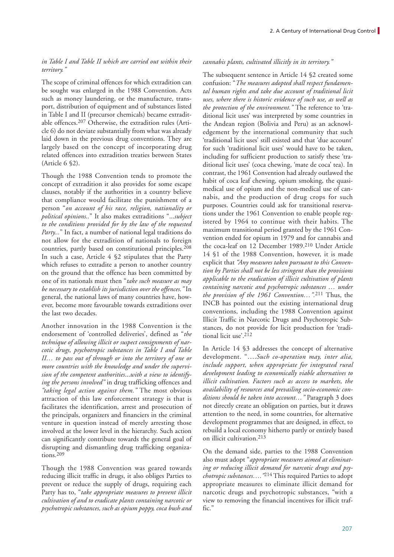### *in Table I and Table II which are carried out within their territory."*

The scope of criminal offences for which extradition can be sought was enlarged in the 1988 Convention. Acts such as money laundering, or the manufacture, transport, distribution of equipment and of substances listed in Table I and II (precursor chemicals) became extraditable offences.207 Otherwise, the extradition rules (Article 6) do not deviate substantially from what was already laid down in the previous drug conventions. They are largely based on the concept of incorporating drug related offences into extradition treaties between States (Article 6 §2).

Though the 1988 Convention tends to promote the concept of extradition it also provides for some escape clauses, notably if the authorities in a country believe that compliance would facilitate the punishment of a person "*on account of his race, religion, nationality or political opinions..*" It also makes extraditions "...*subject to the conditions provided for by the law of the requested Party...*" In fact, a number of national legal traditions do not allow for the extradition of nationals to foreign countries, partly based on constitutional principles.208 In such a case, Article 4 §2 stipulates that the Party which refuses to extradite a person to another country on the ground that the offence has been committed by one of its nationals must then "*take such measure as may be necessary to establish its jurisdiction over the offences."* In general, the national laws of many countries have, however, become more favourable towards extraditions over the last two decades.

Another innovation in the 1988 Convention is the endorsement of 'controlled deliveries', defined as "*the technique of allowing illicit or suspect consignments of narcotic drugs, psychotropic substances in Table I and Table II… to pass out of through or into the territory of one or more countries with the knowledge and under the supervision of the competent authorities*...*with a view to identifying the persons involved"* in drug trafficking offences and *"taking legal action against them."* The most obvious attraction of this law enforcement strategy is that is facilitates the identification, arrest and prosecution of the principals, organizers and financiers in the criminal venture in question instead of merely arresting those involved at the lower level in the hierarchy. Such action can significantly contribute towards the general goal of disrupting and dismantling drug trafficking organizations.209

Though the 1988 Convention was geared towards reducing illicit traffic in drugs, it also obliges Parties to prevent or reduce the supply of drugs, requiring each Party has to, "*take appropriate measures to prevent illicit cultivation of and to eradicate plants containing narcotic or psychotropic substances, such as opium poppy, coca bush and* 

#### *cannabis plants, cultivated illicitly in its territory."*

The subsequent sentence in Article 14 §2 created some confusion: "*The measures adopted shall respect fundamental human rights and take due account of traditional licit uses, where there is historic evidence of such use, as well as the protection of the environment."* The reference to 'traditional licit uses' was interpreted by some countries in the Andean region (Bolivia and Peru) as an acknowledgement by the international community that such 'traditional licit uses' still existed and that 'due account' for such 'traditional licit uses' would have to be taken, including for sufficient production to satisfy these 'traditional licit uses' (coca chewing, 'mate de coca' tea). In contrast, the 1961 Convention had already outlawed the habit of coca leaf chewing, opium smoking, the quasimedical use of opium and the non-medical use of cannabis, and the production of drug crops for such purposes. Countries could ask for transitional reservations under the 1961 Convention to enable people registered by 1964 to continue with their habits. The maximum transitional period granted by the 1961 Convention ended for opium in 1979 and for cannabis and the coca-leaf on 12 December 1989.210 Under Article 14 §1 of the 1988 Convention, however, it is made explicit that *"Any measures taken pursuant to this Convention by Parties shall not be less stringent than the provisions applicable to the eradication of illicit cultivation of plants containing narcotic and psychotropic substances … under the provision of the 1961 Convention…".*211 Thus, the INCB has pointed out the existing international drug conventions, including the 1988 Convention against Illicit Traffic in Narcotic Drugs and Psychotropic Substances, do not provide for licit production for 'traditional licit use'.212

In Article 14 §3 addresses the concept of alternative development. "….*Such co-operation may, inter alia, include support, when appropriate for integrated rural development leading to economically viable alternatives to illicit cultivation. Factors such as access to markets, the availability of resources and prevailing socio-economic conditions should be taken into account…"* Paragraph 3 does not directly create an obligation on parties, but it draws attention to the need, in some countries, for alternative development programmes that are designed, in effect, to rebuild a local economy hitherto partly or entirely based on illicit cultivation.213

On the demand side, parties to the 1988 Convention also must adopt "*appropriate measures aimed at eliminating or reducing illicit demand for narcotic drugs and psychotropic substances…."*214 This required Parties to adopt appropriate measures to eliminate illicit demand for narcotic drugs and psychotropic substances, "with a view to removing the financial incentives for illicit traffic."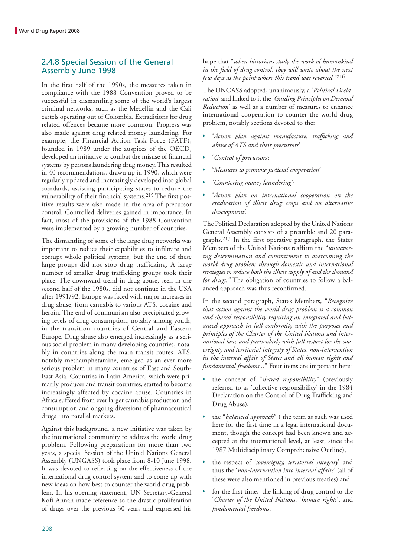# 2.4.8 Special Session of the General Assembly June 1998

In the first half of the 1990s, the measures taken in compliance with the 1988 Convention proved to be successful in dismantling some of the world's largest criminal networks, such as the Medellin and the Cali cartels operating out of Colombia. Extraditions for drug related offences became more common. Progress was also made against drug related money laundering. For example, the Financial Action Task Force (FATF), founded in 1989 under the auspices of the OECD, developed an initiative to combat the misuse of financial systems by persons laundering drug money. This resulted in 40 recommendations, drawn up in 1990, which were regularly updated and increasingly developed into global standards, assisting participating states to reduce the vulnerability of their financial systems.215 The first positive results were also made in the area of precursor control. Controlled deliveries gained in importance. In fact, most of the provisions of the 1988 Convention were implemented by a growing number of countries.

The dismantling of some of the large drug networks was important to reduce their capabilities to infiltrate and corrupt whole political systems, but the end of these large groups did not stop drug trafficking. A large number of smaller drug trafficking groups took their place. The downward trend in drug abuse, seen in the second half of the 1980s, did not continue in the USA after 1991/92. Europe was faced with major increases in drug abuse, from cannabis to various ATS, cocaine and heroin. The end of communism also precipitated growing levels of drug consumption, notably among youth, in the transition countries of Central and Eastern Europe. Drug abuse also emerged increasingly as a serious social problem in many developing countries, notably in countries along the main transit routes. ATS, notably methamphetamine, emerged as an ever more serious problem in many countries of East and South-East Asia. Countries in Latin America, which were primarily producer and transit countries, started to become increasingly affected by cocaine abuse. Countries in Africa suffered from ever larger cannabis production and consumption and ongoing diversions of pharmaceutical drugs into parallel markets.

Against this background, a new initiative was taken by the international community to address the world drug problem. Following preparations for more than two years, a special Session of the United Nations General Assembly (UNGASS) took place from 8-10 June 1998. It was devoted to reflecting on the effectiveness of the international drug control system and to come up with new ideas on how best to counter the world drug problem. In his opening statement, UN Secretary-General Kofi Annan made reference to the drastic proliferation of drugs over the previous 30 years and expressed his

hope that "*when historians study the work of humankind in the field of drug control, they will write about the next few days as the point where this trend was reversed."*216

The UNGASS adopted, unanimously, a '*Political Declaration*' and linked to it the '*Guiding Principles on Demand Reduction*' as well as a number of measures to enhance international cooperation to counter the world drug problem, notably sections devoted to the:

- 'Action plan against manufacture, trafficking and *abuse of ATS and their precursors'*
- '*Control of precursors'*;
- '*Measures to promote judicial cooperation'*
- *'Countering money laundering';*
- '*Action plan on international cooperation on the eradication of illicit drug crops and on alternative development'*.

The Political Declaration adopted by the United Nations General Assembly consists of a preamble and 20 paragraphs.217 In the first operative paragraph, the States Members of the United Nations reaffirm the "*unwavering determination and commitment to overcoming the world drug problem through domestic and international strategies to reduce both the illicit supply of and the demand for drugs."* The obligation of countries to follow a balanced approach was thus reconfirmed.

In the second paragraph, States Members, "*Recognize that action against the world drug problem is a common and shared responsibility requiring an integrated and balanced approach in full conformity with the purposes and principles of the Charter of the United Nations and international law, and particularly with full respect for the sovereignty and territorial integrity of States, non-intervention in the internal affair of States and all human rights and fundamental freedoms...*" Four items are important here:

- the concept of "*shared responsibility*" (previously referred to as 'collective responsibility' in the 1984 Declaration on the Control of Drug Trafficking and Drug Abuse),
- the "*balanced approach*" ( the term as such was used here for the first time in a legal international document, though the concept had been known and accepted at the international level, at least, since the 1987 Multidisciplinary Comprehensive Outline),
- the respect of '*sovereignty, territorial integrity*' and thus the 'non-intervention into internal affairs' (all of these were also mentioned in previous treaties) and,
- for the first time, the linking of drug control to the '*Charter of the United Nations,* '*human rights*', and *fundamental freedoms*.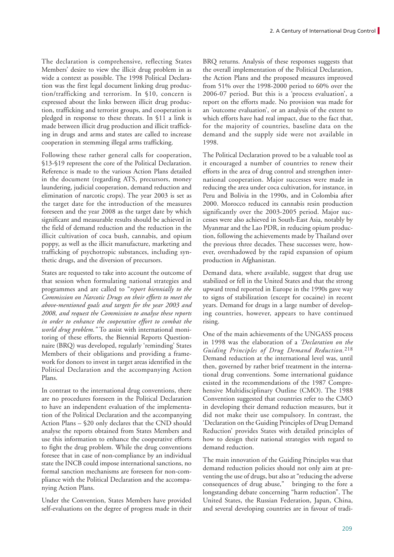The declaration is comprehensive, reflecting States Members' desire to view the illicit drug problem in as wide a context as possible. The 1998 Political Declaration was the first legal document linking drug production/trafficking and terrorism. In §10, concern is expressed about the links between illicit drug production, trafficking and terrorist groups, and cooperation is pledged in response to these threats. In §11 a link is made between illicit drug production and illicit trafficking in drugs and arms and states are called to increase cooperation in stemming illegal arms trafficking.

Following these rather general calls for cooperation, §13-§19 represent the core of the Political Declaration. Reference is made to the various Action Plans detailed in the document (regarding ATS, precursors, money laundering, judicial cooperation, demand reduction and elimination of narcotic crops). The year 2003 is set as the target date for the introduction of the measures foreseen and the year 2008 as the target date by which significant and measurable results should be achieved in the field of demand reduction and the reduction in the illicit cultivation of coca bush, cannabis, and opium poppy, as well as the illicit manufacture, marketing and trafficking of psychotropic substances, including synthetic drugs, and the diversion of precursors.

States are requested to take into account the outcome of that session when formulating national strategies and programmes and are called to "*report biennially to the Commission on Narcotic Drugs on their efforts to meet the above-mentioned goals and targets for the year 2003 and 2008, and request the Commission to analyse these reports in order to enhance the cooperative effort to combat the world drug problem."* To assist with international monitoring of these efforts, the Biennial Reports Questionnaire (BRQ) was developed, regularly 'reminding' States Members of their obligations and providing a framework for donors to invest in target areas identified in the Political Declaration and the accompanying Action Plans.

In contrast to the international drug conventions, there are no procedures foreseen in the Political Declaration to have an independent evaluation of the implementation of the Political Declaration and the accompanying Action Plans – §20 only declares that the CND should analyse the reports obtained from States Members and use this information to enhance the cooperative efforts to fight the drug problem. While the drug conventions foresee that in case of non-compliance by an individual state the INCB could impose international sanctions, no formal sanction mechanisms are foreseen for non-compliance with the Political Declaration and the accompanying Action Plans.

Under the Convention, States Members have provided self-evaluations on the degree of progress made in their

BRQ returns. Analysis of these responses suggests that the overall implementation of the Political Declaration, the Action Plans and the proposed measures improved from 51% over the 1998-2000 period to 60% over the 2006-07 period. But this is a 'process evaluation', a report on the efforts made. No provision was made for an 'outcome evaluation', or an analysis of the extent to which efforts have had real impact, due to the fact that, for the majority of countries, baseline data on the demand and the supply side were not available in 1998.

The Political Declaration proved to be a valuable tool as it encouraged a number of countries to renew their efforts in the area of drug control and strengthen international cooperation. Major successes were made in reducing the area under coca cultivation, for instance, in Peru and Bolivia in the 1990s, and in Colombia after 2000. Morocco reduced its cannabis resin production significantly over the 2003-2005 period. Major successes were also achieved in South-East Asia, notably by Myanmar and the Lao PDR, in reducing opium production, following the achievements made by Thailand over the previous three decades. These successes were, however, overshadowed by the rapid expansion of opium production in Afghanistan.

Demand data, where available, suggest that drug use stabilized or fell in the United States and that the strong upward trend reported in Europe in the 1990s gave way to signs of stabilization (except for cocaine) in recent years. Demand for drugs in a large number of developing countries, however, appears to have continued rising.

One of the main achievements of the UNGASS process in 1998 was the elaboration of a *'Declaration on the Guiding Principles of Drug Demand Reduction.*<sup>218</sup> Demand reduction at the international level was, until then, governed by rather brief treatment in the international drug conventions. Some international guidance existed in the recommendations of the 1987 Comprehensive Multidisciplinary Outline (CMO). The 1988 Convention suggested that countries refer to the CMO in developing their demand reduction measures, but it did not make their use compulsory. In contrast, the 'Declaration on the Guiding Principles of Drug Demand Reduction' provides States with detailed principles of how to design their national strategies with regard to demand reduction.

The main innovation of the Guiding Principles was that demand reduction policies should not only aim at preventing the use of drugs, but also at "reducing the adverse consequences of drug abuse," bringing to the fore a longstanding debate concerning "harm reduction". The United States, the Russian Federation, Japan, China, and several developing countries are in favour of tradi-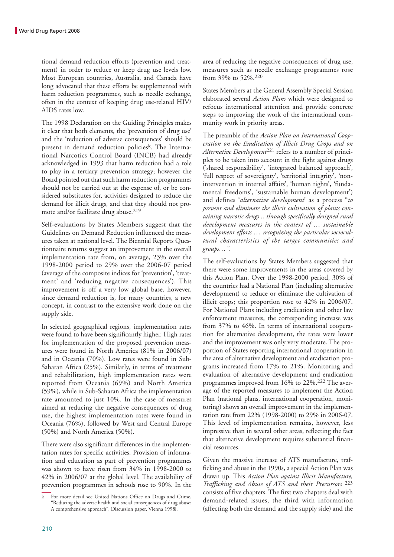tional demand reduction efforts (prevention and treatment) in order to reduce or keep drug use levels low. Most European countries, Australia, and Canada have long advocated that these efforts be supplemented with harm reduction programmes, such as needle exchange, often in the context of keeping drug use-related HIV/ AIDS rates low.

The 1998 Declaration on the Guiding Principles makes it clear that both elements, the 'prevention of drug use' and the 'reduction of adverse consequences' should be present in demand reduction policiesk. The International Narcotics Control Board (INCB) had already acknowledged in 1993 that harm reduction had a role to play in a tertiary prevention strategy; however the Board pointed out that such harm reduction programmes should not be carried out at the expense of, or be considered substitutes for, activities designed to reduce the demand for illicit drugs, and that they should not promote and/or facilitate drug abuse.219

Self-evaluations by States Members suggest that the Guidelines on Demand Reduction influenced the measures taken at national level. The Biennial Reports Questionnaire returns suggest an improvement in the overall implementation rate from, on average, 23% over the 1998-2000 period to 29% over the 2006-07 period (average of the composite indices for 'prevention', 'treatment' and 'reducing negative consequences'). This improvement is off a very low global base, however, since demand reduction is, for many countries, a new concept, in contrast to the extensive work done on the supply side.

In selected geographical regions, implementation rates were found to have been significantly higher. High rates for implementation of the proposed prevention measures were found in North America (81% in 2006/07) and in Oceania (70%). Low rates were found in Sub-Saharan Africa (25%). Similarly, in terms of treatment and rehabilitation, high implementation rates were reported from Oceania (69%) and North America (59%), while in Sub-Saharan Africa the implementation rate amounted to just 10%. In the case of measures aimed at reducing the negative consequences of drug use, the highest implementation rates were found in Oceania (76%), followed by West and Central Europe (50%) and North America (50%).

There were also significant differences in the implementation rates for specific activities. Provision of information and education as part of prevention programmes was shown to have risen from 34% in 1998-2000 to 42% in 2006/07 at the global level. The availability of prevention programmes in schools rose to 90%. In the area of reducing the negative consequences of drug use, measures such as needle exchange programmes rose from 39% to 52%.220

States Members at the General Assembly Special Session elaborated several *Action Plans* which were designed to refocus international attention and provide concrete steps to improving the work of the international community work in priority areas.

The preamble of the *Action Plan on International Cooperation on the Eradication of Illicit Drug Crops and on Alternative Development*221 refers to a number of principles to be taken into account in the fight against drugs ('shared responsibility', 'integrated balanced approach', 'full respect of sovereignty', 'territorial integrity', 'nonintervention in internal affairs', 'human rights', 'fundamental freedoms', 'sustainable human development') and defines '*alternative development*' as a process "*to prevent and eliminate the illicit cultivation of plants containing narcotic drugs .. through specifically designed rural development measures in the context of … sustainable development efforts … recognizing the particular sociocultural characteristics of the target communities and groups…".* 

The self-evaluations by States Members suggested that there were some improvements in the areas covered by this Action Plan. Over the 1998-2000 period, 30% of the countries had a National Plan (including alternative development) to reduce or eliminate the cultivation of illicit crops; this proportion rose to 42% in 2006/07. For National Plans including eradication and other law enforcement measures, the corresponding increase was from 37% to 46%. In terms of international cooperation for alternative development, the rates were lower and the improvement was only very moderate. The proportion of States reporting international cooperation in the area of alternative development and eradication programs increased from 17% to 21%. Monitoring and evaluation of alternative development and eradication programmes improved from 16% to 22%.<sup>222</sup> The average of the reported measures to implement the Action Plan (national plans, international cooperation, monitoring) shows an overall improvement in the implementation rate from 22% (1998-2000) to 29% in 2006-07. This level of implementation remains, however, less impressive than in several other areas, reflecting the fact that alternative development requires substantial financial resources.

Given the massive increase of ATS manufacture, trafficking and abuse in the 1990s, a special Action Plan was drawn up. This *Action Plan against Illicit Manufacture, Trafficking and Abuse of ATS and their Precursors* 223 consists of five chapters. The first two chapters deal with demand-related issues, the third with information (affecting both the demand and the supply side) and the

For more detail see United Nations Office on Drugs and Crime, "Reducing the adverse health and social consequences of drug abuse: A comprehensive approach", Discussion paper, Vienna 1998l.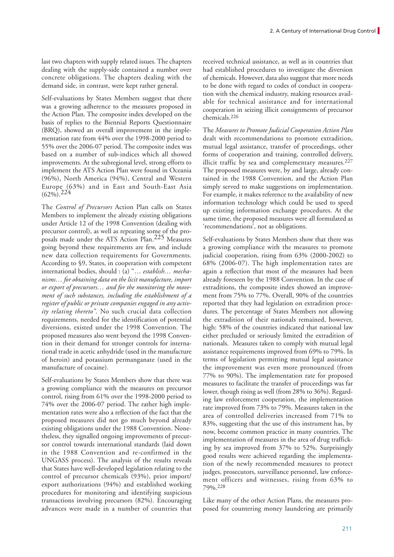last two chapters with supply related issues. The chapters dealing with the supply-side contained a number over concrete obligations. The chapters dealing with the demand side, in contrast, were kept rather general.

Self-evaluations by States Members suggest that there was a growing adherence to the measures proposed in the Action Plan. The composite index developed on the basis of replies to the Biennial Reports Questionnaire (BRQ), showed an overall improvement in the implementation rate from 44% over the 1998-2000 period to 55% over the 2006-07 period. The composite index was based on a number of sub-indices which all showed improvements. At the subregional level, strong efforts to implement the ATS Action Plan were found in Oceania (96%), North America (94%), Central and Western Europe (63%) and in East and South-East Asia  $(62\%)$ .  $22\%$ 

The *Control of Precursors* Action Plan calls on States Members to implement the already existing obligations under Article 12 of the 1998 Convention (dealing with precursor control), as well as repeating some of the proposals made under the ATS Action Plan.225 Measures going beyond these requirements are few, and include new data collection requirements for Governments. According to §9, States, in cooperation with competent international bodies, should : (a) "… *establish… mechanisms… for obtaining data on the licit manufacture, import or export of precursors… and for the monitoring the movement of such substances, including the establishment of a register of public or private companies engaged in any activity relating thereto"*. No such crucial data collection requirements, needed for the identification of potential diversions, existed under the 1998 Convention. The proposed measures also went beyond the 1998 Convention in their demand for stronger controls for international trade in acetic anhydride (used in the manufacture of heroin) and potassium permanganate (used in the manufacture of cocaine).

Self-evaluations by States Members show that there was a growing compliance with the measures on precursor control, rising from 61% over the 1998-2000 period to 74% over the 2006-07 period. The rather high implementation rates were also a reflection of the fact that the proposed measures did not go much beyond already existing obligations under the 1988 Convention. Nonetheless, they signalled ongoing improvements of precursor control towards international standards (laid down in the 1988 Convention and re-confirmed in the UNGASS process). The analysis of the results reveals that States have well-developed legislation relating to the control of precursor chemicals (93%), prior import/ export authorizations (94%) and established working procedures for monitoring and identifying suspicious transactions involving precursors (82%). Encouraging advances were made in a number of countries that

received technical assistance, as well as in countries that had established procedures to investigate the diversion of chemicals. However, data also suggest that more needs to be done with regard to codes of conduct in cooperation with the chemical industry, making resources available for technical assistance and for international cooperation in seizing illicit consignments of precursor chemicals.226

The *Measures to Promote Judicial Cooperation Action Plan* dealt with recommendations to promote extradition, mutual legal assistance, transfer of proceedings, other forms of cooperation and training, controlled delivery, illicit traffic by sea and complementary measures.<sup>227</sup> The proposed measures were, by and large, already contained in the 1988 Convention, and the Action Plan simply served to make suggestions on implementation. For example, it makes reference to the availability of new information technology which could be used to speed up existing information exchange procedures. At the same time, the proposed measures were all formulated as 'recommendations', not as obligations.

Self-evaluations by States Members show that there was a growing compliance with the measures to promote judicial cooperation, rising from 63% (2000-2002) to 68% (2006-07). The high implementation rates are again a reflection that most of the measures had been already foreseen by the 1988 Convention. In the case of extraditions, the composite index showed an improvement from 75% to 77%. Overall, 90% of the countries reported that they had legislation on extradition procedures. The percentage of States Members not allowing the extradition of their nationals remained, however, high: 58% of the countries indicated that national law either precluded or seriously limited the extradition of nationals. Measures taken to comply with mutual legal assistance requirements improved from 69% to 79%. In terms of legislation permitting mutual legal assistance the improvement was even more pronounced (from 77% to 90%). The implementation rate for proposed measures to facilitate the transfer of proceedings was far lower, though rising as well (from 28% to 36%). Regarding law enforcement cooperation, the implementation rate improved from 73% to 79%. Measures taken in the area of controlled deliveries increased from 71% to 83%, suggesting that the use of this instrument has, by now, become common practice in many countries. The implementation of measures in the area of drug trafficking by sea improved from 37% to 52%. Surprisingly good results were achieved regarding the implementation of the newly recommended measures to protect judges, prosecutors, surveillance personnel, law enforcement officers and witnesses, rising from 63% to 79%.228

Like many of the other Action Plans, the measures proposed for countering money laundering are primarily